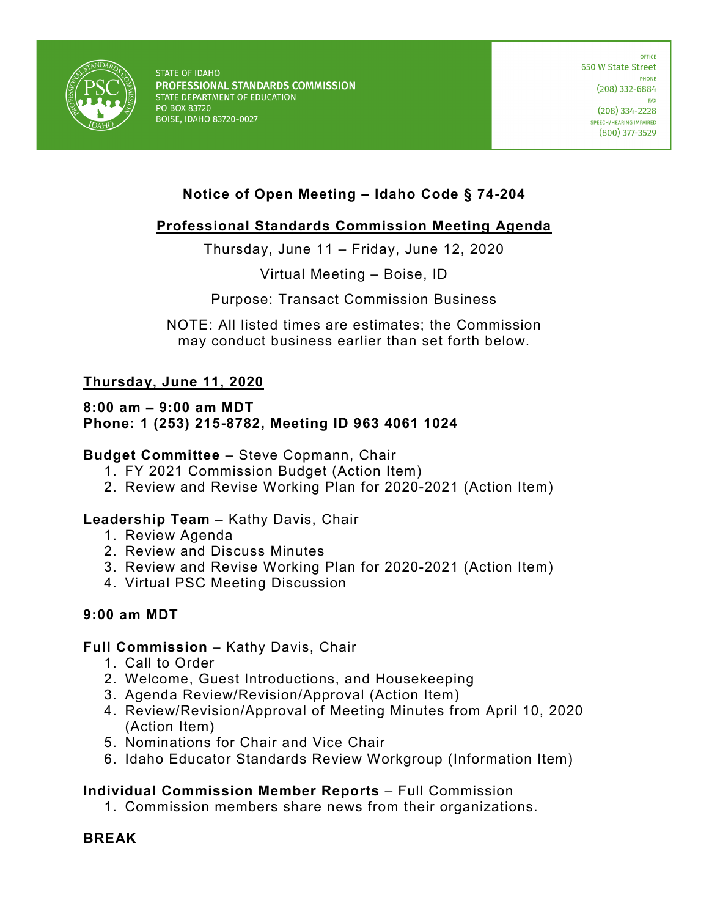

**STATE OF IDAHO** PROFESSIONAL STANDARDS COMMISSION STATE DEPARTMENT OF EDUCATION PO BOX 83720 **BOISE, IDAHO 83720-0027** 

**OFFICE** 650 W State Street PHONE  $(208)$  332-6884 **FAX**  $(208)$  334-2228 SPEECH/HEARING IMPAIRED  $(800)$  377-3529

# **Notice of Open Meeting – Idaho Code § 74-204**

## **Professional Standards Commission Meeting Agenda**

Thursday, June 11 – Friday, June 12, 2020

Virtual Meeting – Boise, ID

Purpose: Transact Commission Business

NOTE: All listed times are estimates; the Commission may conduct business earlier than set forth below.

## **Thursday, June 11, 2020**

#### **8:00 am – 9:00 am MDT Phone: 1 (253) 215-8782, Meeting ID 963 4061 1024**

### **Budget Committee** – Steve Copmann, Chair

- 1. FY 2021 Commission Budget (Action Item)
- 2. Review and Revise Working Plan for 2020-2021 (Action Item)

### **Leadership Team** – Kathy Davis, Chair

- 1. Review Agenda
- 2. Review and Discuss Minutes
- 3. Review and Revise Working Plan for 2020-2021 (Action Item)
- 4. Virtual PSC Meeting Discussion

### **9:00 am MDT**

#### **Full Commission** – Kathy Davis, Chair

- 1. Call to Order
- 2. Welcome, Guest Introductions, and Housekeeping
- 3. Agenda Review/Revision/Approval (Action Item)
- 4. Review/Revision/Approval of Meeting Minutes from April 10, 2020 (Action Item)
- 5. Nominations for Chair and Vice Chair
- 6. Idaho Educator Standards Review Workgroup (Information Item)

### **Individual Commission Member Reports** – Full Commission

1. Commission members share news from their organizations.

### **BREAK**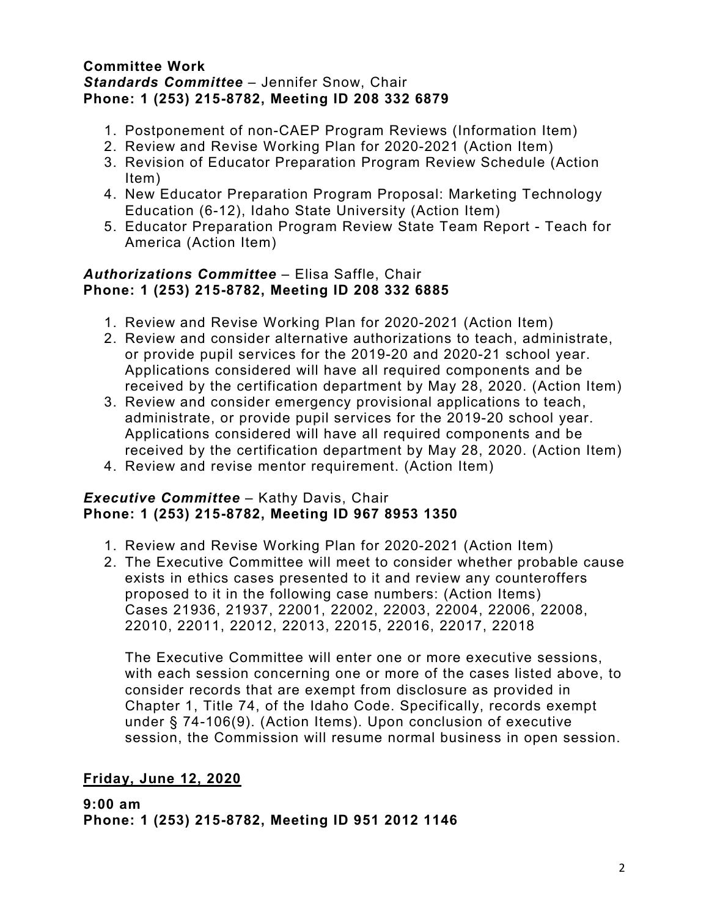#### **Committee Work** *Standards Committee* – Jennifer Snow, Chair **Phone: 1 (253) 215-8782, Meeting ID 208 332 6879**

- 1. Postponement of non-CAEP Program Reviews (Information Item)
- 2. Review and Revise Working Plan for 2020-2021 (Action Item)
- 3. Revision of Educator Preparation Program Review Schedule (Action Item)
- 4. New Educator Preparation Program Proposal: Marketing Technology Education (6-12), Idaho State University (Action Item)
- 5. Educator Preparation Program Review State Team Report Teach for America (Action Item)

## *Authorizations Committee* – Elisa Saffle, Chair **Phone: 1 (253) 215-8782, Meeting ID 208 332 6885**

- 1. Review and Revise Working Plan for 2020-2021 (Action Item)
- 2. Review and consider alternative authorizations to teach, administrate, or provide pupil services for the 2019-20 and 2020-21 school year. Applications considered will have all required components and be received by the certification department by May 28, 2020. (Action Item)
- 3. Review and consider emergency provisional applications to teach, administrate, or provide pupil services for the 2019-20 school year. Applications considered will have all required components and be received by the certification department by May 28, 2020. (Action Item)
- 4. Review and revise mentor requirement. (Action Item)

### *Executive Committee* – Kathy Davis, Chair **Phone: 1 (253) 215-8782, Meeting ID 967 8953 1350**

- 1. Review and Revise Working Plan for 2020-2021 (Action Item)
- 2. The Executive Committee will meet to consider whether probable cause exists in ethics cases presented to it and review any counteroffers proposed to it in the following case numbers: (Action Items) Cases 21936, 21937, 22001, 22002, 22003, 22004, 22006, 22008, 22010, 22011, 22012, 22013, 22015, 22016, 22017, 22018

The Executive Committee will enter one or more executive sessions, with each session concerning one or more of the cases listed above, to consider records that are exempt from disclosure as provided in Chapter 1, Title 74, of the Idaho Code. Specifically, records exempt under § 74-106(9). (Action Items). Upon conclusion of executive session, the Commission will resume normal business in open session.

## **Friday, June 12, 2020**

**9:00 am Phone: 1 (253) 215-8782, Meeting ID 951 2012 1146**